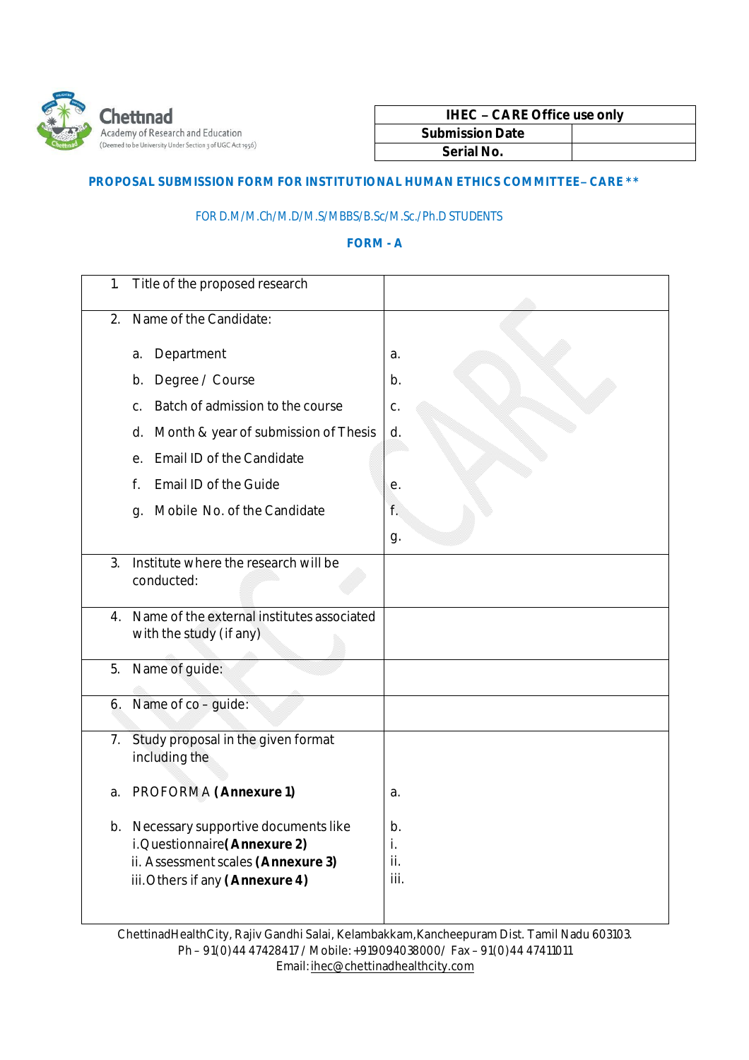

| <b>IHEC - CARE Office use only</b> |  |
|------------------------------------|--|
| <b>Submission Date</b>             |  |
| Serial No.                         |  |

## **PROPOSAL SUBMISSION FORM FOR INSTITUTIONAL HUMAN ETHICS COMMITTEE– CARE \*\***

## FOR D.M/M.Ch/M.D/M.S/MBBS/B.Sc/M.Sc./Ph.D STUDENTS

## **FORM - A**

| 1. | Title of the proposed research                                                                                                                   |                         |
|----|--------------------------------------------------------------------------------------------------------------------------------------------------|-------------------------|
| 2. | Name of the Candidate:                                                                                                                           |                         |
|    | Department<br>a.                                                                                                                                 | a.                      |
|    | Degree / Course<br>b.                                                                                                                            | b.                      |
|    | Batch of admission to the course<br>C.                                                                                                           | C.                      |
|    | Month & year of submission of Thesis<br>d.                                                                                                       | d.                      |
|    | Email ID of the Candidate<br>е.                                                                                                                  |                         |
|    | <b>Email ID of the Guide</b><br>f.                                                                                                               | е.                      |
|    | Mobile No. of the Candidate<br>g.                                                                                                                | f.                      |
|    |                                                                                                                                                  | g.                      |
| 3. | Institute where the research will be<br>conducted:                                                                                               |                         |
|    | 4. Name of the external institutes associated<br>with the study (if any)                                                                         |                         |
| 5. | Name of guide:                                                                                                                                   |                         |
| 6. | Name of co - guide:                                                                                                                              |                         |
| 7. | Study proposal in the given format<br>including the                                                                                              |                         |
| a. | PROFORMA (Annexure 1)                                                                                                                            | a.                      |
|    | b. Necessary supportive documents like<br>i. Questionnaire (Annexure 2)<br>ii. Assessment scales (Annexure 3)<br>iii. Others if any (Annexure 4) | b.<br>i.<br>ii.<br>iii. |

ChettinadHealthCity,Rajiv Gandhi Salai, Kelambakkam,Kancheepuram Dist. Tamil Nadu 603103. Ph – 91(0)44 47428417 /Mobile:+919094038000/ Fax – 91(0)44 47411011 Email:ihec@chettinadhealthcity.com